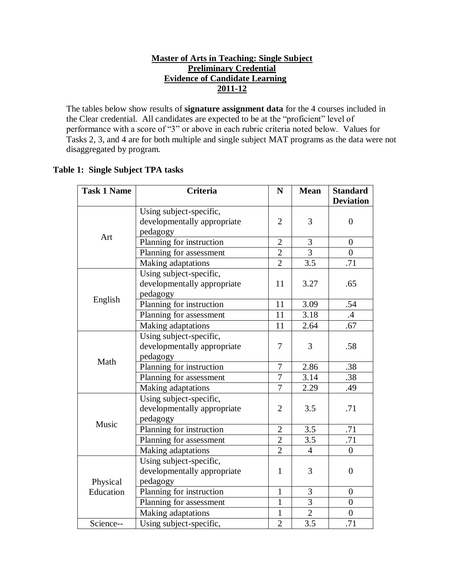## **Master of Arts in Teaching: Single Subject Preliminary Credential Evidence of Candidate Learning 2011-12**

The tables below show results of **signature assignment data** for the 4 courses included in the Clear credential. All candidates are expected to be at the "proficient" level of performance with a score of "3" or above in each rubric criteria noted below. Values for Tasks 2, 3, and 4 are for both multiple and single subject MAT programs as the data were not disaggregated by program.

# **Table 1: Single Subject TPA tasks**

| <b>Task 1 Name</b> | Criteria                    | N              | <b>Mean</b>      | <b>Standard</b>  |
|--------------------|-----------------------------|----------------|------------------|------------------|
|                    |                             |                |                  | <b>Deviation</b> |
|                    | Using subject-specific,     |                |                  |                  |
|                    | developmentally appropriate | $\overline{2}$ | 3                | $\overline{0}$   |
| Art                | pedagogy                    |                |                  |                  |
|                    | Planning for instruction    | $\overline{2}$ | 3                | $\theta$         |
|                    | Planning for assessment     | $\overline{2}$ | $\overline{3}$   | $\theta$         |
|                    | Making adaptations          | $\overline{2}$ | 3.5              | .71              |
|                    | Using subject-specific,     |                |                  |                  |
|                    | developmentally appropriate | 11             | 3.27             | .65              |
|                    | pedagogy                    |                |                  |                  |
| English            | Planning for instruction    | 11             | 3.09             | .54              |
|                    | Planning for assessment     | 11             | 3.18             | $\cdot$          |
|                    | Making adaptations          | 11             | 2.64             | .67              |
|                    | Using subject-specific,     |                |                  |                  |
|                    | developmentally appropriate | 7              | 3                | .58              |
| Math               | pedagogy                    |                |                  |                  |
|                    | Planning for instruction    | $\overline{7}$ | 2.86             | .38              |
|                    | Planning for assessment     | $\overline{7}$ | 3.14             | .38              |
|                    | Making adaptations          | $\overline{7}$ | 2.29             | .49              |
|                    | Using subject-specific,     |                |                  |                  |
|                    | developmentally appropriate | $\overline{2}$ | 3.5              | .71              |
|                    | pedagogy                    |                |                  |                  |
| Music              | Planning for instruction    | $\overline{2}$ | 3.5              | .71              |
|                    | Planning for assessment     | $\overline{2}$ | 3.5              | .71              |
|                    | Making adaptations          | $\overline{2}$ | $\overline{4}$   | $\overline{0}$   |
|                    | Using subject-specific,     |                |                  |                  |
|                    | developmentally appropriate | $\mathbf{1}$   | 3                | $\overline{0}$   |
| Physical           | pedagogy                    |                |                  |                  |
| Education          | Planning for instruction    | $\mathbf{1}$   | 3                | $\overline{0}$   |
|                    | Planning for assessment     | $\mathbf{1}$   | 3                | $\boldsymbol{0}$ |
|                    | Making adaptations          | $\mathbf{1}$   | $\overline{2}$   | $\boldsymbol{0}$ |
| Science--          | Using subject-specific,     | $\overline{2}$ | $\overline{3.5}$ | .71              |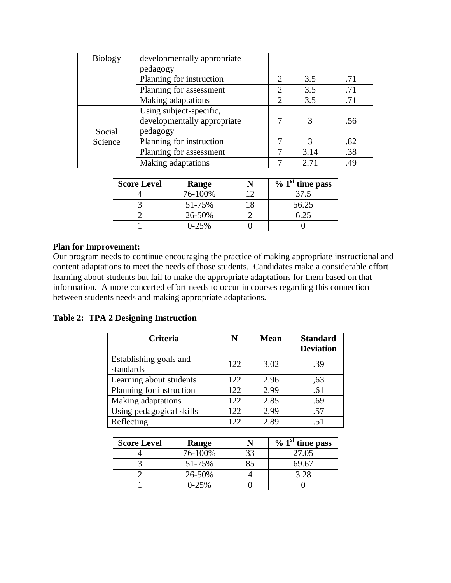| <b>Biology</b> | developmentally appropriate                            |                             |      |     |
|----------------|--------------------------------------------------------|-----------------------------|------|-----|
|                | pedagogy                                               |                             |      |     |
|                | Planning for instruction                               |                             | 3.5  | .71 |
|                | Planning for assessment                                |                             | 3.5  | .71 |
|                | Making adaptations                                     | $\mathcal{D}_{\mathcal{L}}$ | 3.5  | .71 |
|                | Using subject-specific,<br>developmentally appropriate |                             | 3    | .56 |
| Social         | pedagogy                                               |                             |      |     |
| Science        | Planning for instruction                               |                             | 3    | .82 |
|                | Planning for assessment                                |                             | 3.14 | .38 |
|                | Making adaptations                                     |                             | 2.71 | .49 |

| <b>Score Level</b> | Range   |    | $\%$ 1 <sup>st</sup> time pass |
|--------------------|---------|----|--------------------------------|
|                    | 76-100% | ∣ำ | 37.5                           |
|                    | 51-75%  |    | 56.25                          |
|                    | 26-50%  |    | 525                            |
|                    | $0-25%$ |    |                                |

Our program needs to continue encouraging the practice of making appropriate instructional and content adaptations to meet the needs of those students. Candidates make a considerable effort learning about students but fail to make the appropriate adaptations for them based on that information. A more concerted effort needs to occur in courses regarding this connection between students needs and making appropriate adaptations.

# **Table 2: TPA 2 Designing Instruction**

| Criteria                            | N   | <b>Mean</b> | <b>Standard</b><br><b>Deviation</b> |
|-------------------------------------|-----|-------------|-------------------------------------|
| Establishing goals and<br>standards | 122 | 3.02        | .39                                 |
| Learning about students             | 122 | 2.96        | .63                                 |
| Planning for instruction            | 122 | 2.99        | .61                                 |
| Making adaptations                  | 122 | 2.85        | .69                                 |
| Using pedagogical skills            | 122 | 2.99        | .57                                 |
| Reflecting                          | 122 | 2.89        | 51                                  |

| <b>Score Level</b> | Range   | $\%$ 1 <sup>st</sup> time pass |
|--------------------|---------|--------------------------------|
|                    | 76-100% | 27.05                          |
|                    | 51-75%  | 69.67                          |
|                    | 26-50%  |                                |
|                    | 0-25%   |                                |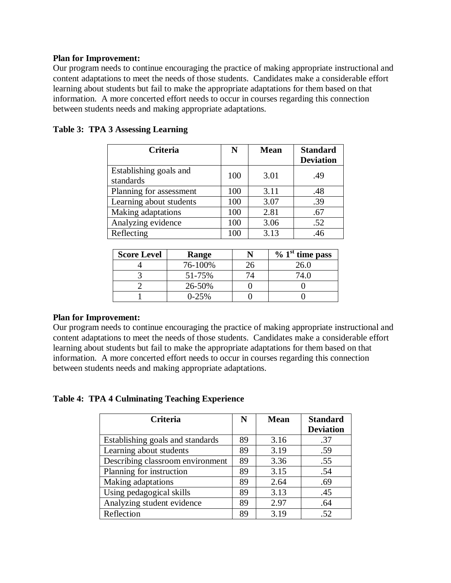Our program needs to continue encouraging the practice of making appropriate instructional and content adaptations to meet the needs of those students. Candidates make a considerable effort learning about students but fail to make the appropriate adaptations for them based on that information. A more concerted effort needs to occur in courses regarding this connection between students needs and making appropriate adaptations.

| Criteria                            | N   | <b>Mean</b> | <b>Standard</b><br><b>Deviation</b> |
|-------------------------------------|-----|-------------|-------------------------------------|
| Establishing goals and<br>standards | 100 | 3.01        | .49                                 |
| Planning for assessment             | 100 | 3.11        | .48                                 |
| Learning about students             | 100 | 3.07        | .39                                 |
| Making adaptations                  | 100 | 2.81        | .67                                 |
| Analyzing evidence                  | 100 | 3.06        | .52                                 |
| Reflecting                          | 100 | 3.13        | .46                                 |

### **Table 3: TPA 3 Assessing Learning**

| <b>Score Level</b> | Range   | $\%$ 1 <sup>st</sup> time pass |
|--------------------|---------|--------------------------------|
|                    | 76-100% | 26.0                           |
|                    | 51-75%  |                                |
|                    | 26-50%  |                                |
|                    | $0-25%$ |                                |

### **Plan for Improvement:**

Our program needs to continue encouraging the practice of making appropriate instructional and content adaptations to meet the needs of those students. Candidates make a considerable effort learning about students but fail to make the appropriate adaptations for them based on that information. A more concerted effort needs to occur in courses regarding this connection between students needs and making appropriate adaptations.

### **Table 4: TPA 4 Culminating Teaching Experience**

| <b>Criteria</b>                  | N  | <b>Mean</b> | <b>Standard</b><br><b>Deviation</b> |
|----------------------------------|----|-------------|-------------------------------------|
| Establishing goals and standards | 89 | 3.16        | .37                                 |
| Learning about students          | 89 | 3.19        | .59                                 |
| Describing classroom environment | 89 | 3.36        | .55                                 |
| Planning for instruction         | 89 | 3.15        | .54                                 |
| Making adaptations               | 89 | 2.64        | .69                                 |
| Using pedagogical skills         | 89 | 3.13        | .45                                 |
| Analyzing student evidence       | 89 | 2.97        | .64                                 |
| Reflection                       | 89 | 3.19        | .52                                 |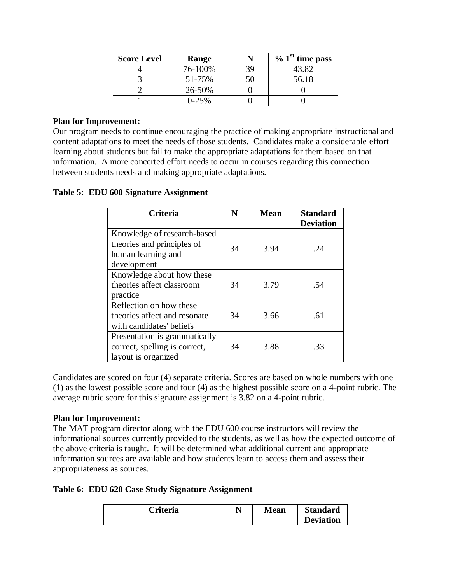| <b>Score Level</b> | Range     |    | $\%$ 1 <sup>st</sup> time pass |
|--------------------|-----------|----|--------------------------------|
|                    | 76-100%   | 39 | 43.82                          |
|                    | 51-75%    |    | 56.18                          |
|                    | 26-50%    |    |                                |
|                    | $0 - 25%$ |    |                                |

Our program needs to continue encouraging the practice of making appropriate instructional and content adaptations to meet the needs of those students. Candidates make a considerable effort learning about students but fail to make the appropriate adaptations for them based on that information. A more concerted effort needs to occur in courses regarding this connection between students needs and making appropriate adaptations.

## **Table 5: EDU 600 Signature Assignment**

| Criteria                                                                                       | N  | <b>Mean</b> | <b>Standard</b><br><b>Deviation</b> |
|------------------------------------------------------------------------------------------------|----|-------------|-------------------------------------|
| Knowledge of research-based<br>theories and principles of<br>human learning and<br>development | 34 | 3.94        | .24                                 |
| Knowledge about how these<br>theories affect classroom<br>practice                             | 34 | 3.79        | .54                                 |
| Reflection on how these<br>theories affect and resonate<br>with candidates' beliefs            | 34 | 3.66        | .61                                 |
| Presentation is grammatically<br>correct, spelling is correct,<br>layout is organized          | 34 | 3.88        | .33                                 |

Candidates are scored on four (4) separate criteria. Scores are based on whole numbers with one (1) as the lowest possible score and four (4) as the highest possible score on a 4-point rubric. The average rubric score for this signature assignment is 3.82 on a 4-point rubric.

## **Plan for Improvement:**

The MAT program director along with the EDU 600 course instructors will review the informational sources currently provided to the students, as well as how the expected outcome of the above criteria is taught. It will be determined what additional current and appropriate information sources are available and how students learn to access them and assess their appropriateness as sources.

### **Table 6: EDU 620 Case Study Signature Assignment**

| Criteria |  | <b>Mean</b> | <b>Standard</b><br><b>Deviation</b> |
|----------|--|-------------|-------------------------------------|
|----------|--|-------------|-------------------------------------|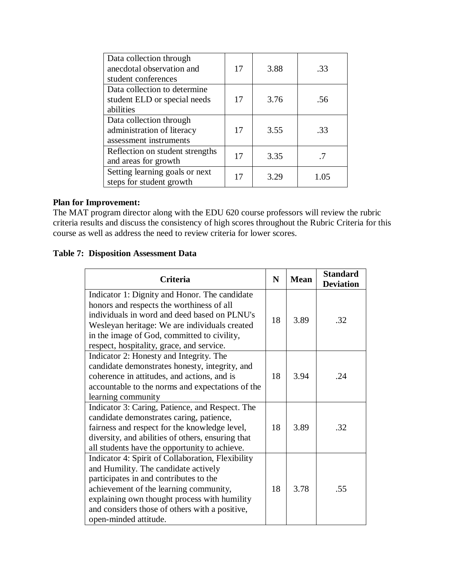| Data collection through         |    |      |      |
|---------------------------------|----|------|------|
| anecdotal observation and       | 17 | 3.88 | .33  |
| student conferences             |    |      |      |
| Data collection to determine    |    |      |      |
| student ELD or special needs    | 17 | 3.76 | .56  |
| abilities                       |    |      |      |
| Data collection through         |    |      |      |
| administration of literacy      | 17 | 3.55 | .33  |
| assessment instruments          |    |      |      |
| Reflection on student strengths | 17 | 3.35 |      |
| and areas for growth            |    |      |      |
| Setting learning goals or next  | 17 | 3.29 | 1.05 |
| steps for student growth        |    |      |      |

The MAT program director along with the EDU 620 course professors will review the rubric criteria results and discuss the consistency of high scores throughout the Rubric Criteria for this course as well as address the need to review criteria for lower scores.

# **Table 7: Disposition Assessment Data**

| Criteria                                                                                                                                                                                                                                                                                                 | N  | <b>Mean</b> | <b>Standard</b><br><b>Deviation</b> |
|----------------------------------------------------------------------------------------------------------------------------------------------------------------------------------------------------------------------------------------------------------------------------------------------------------|----|-------------|-------------------------------------|
| Indicator 1: Dignity and Honor. The candidate<br>honors and respects the worthiness of all<br>individuals in word and deed based on PLNU's<br>Wesleyan heritage: We are individuals created<br>in the image of God, committed to civility,<br>respect, hospitality, grace, and service.                  | 18 | 3.89        | .32                                 |
| Indicator 2: Honesty and Integrity. The<br>candidate demonstrates honesty, integrity, and<br>coherence in attitudes, and actions, and is<br>accountable to the norms and expectations of the<br>learning community                                                                                       | 18 | 3.94        | .24                                 |
| Indicator 3: Caring, Patience, and Respect. The<br>candidate demonstrates caring, patience,<br>fairness and respect for the knowledge level,<br>diversity, and abilities of others, ensuring that<br>all students have the opportunity to achieve.                                                       | 18 | 3.89        | .32                                 |
| Indicator 4: Spirit of Collaboration, Flexibility<br>and Humility. The candidate actively<br>participates in and contributes to the<br>achievement of the learning community,<br>explaining own thought process with humility<br>and considers those of others with a positive,<br>open-minded attitude. | 18 | 3.78        | .55                                 |